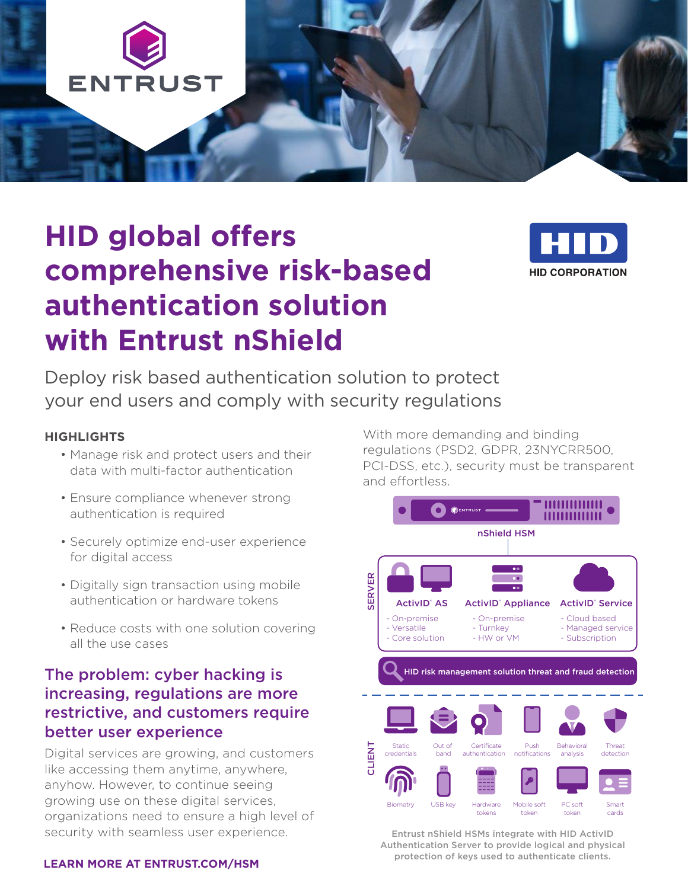

# **HID global offers comprehensive risk-based authentication solution with Entrust nShield**



Deploy risk based authentication solution to protect your end users and comply with security regulations

#### **HIGHLIGHTS**

- Manage risk and protect users and their data with multi-factor authentication
- Ensure compliance whenever strong authentication is required
- Securely optimize end-user experience for digital access
- Digitally sign transaction using mobile authentication or hardware tokens
- Reduce costs with one solution covering all the use cases

#### The problem: cyber hacking is increasing, regulations are more restrictive, and customers require better user experience

Digital services are growing, and customers like accessing them anytime, anywhere, anyhow. However, to continue seeing growing use on these digital services, organizations need to ensure a high level of security with seamless user experience.

#### **LEARN MORE AT ENTRUST.COM/HSM**

With more demanding and binding regulations (PSD2, GDPR, 23NYCRR500, PCI-DSS, etc.), security must be transparent and effortless.



Entrust nShield HSMs integrate with HID ActivID Authentication Server to provide logical and physical protection of keys used to authenticate clients.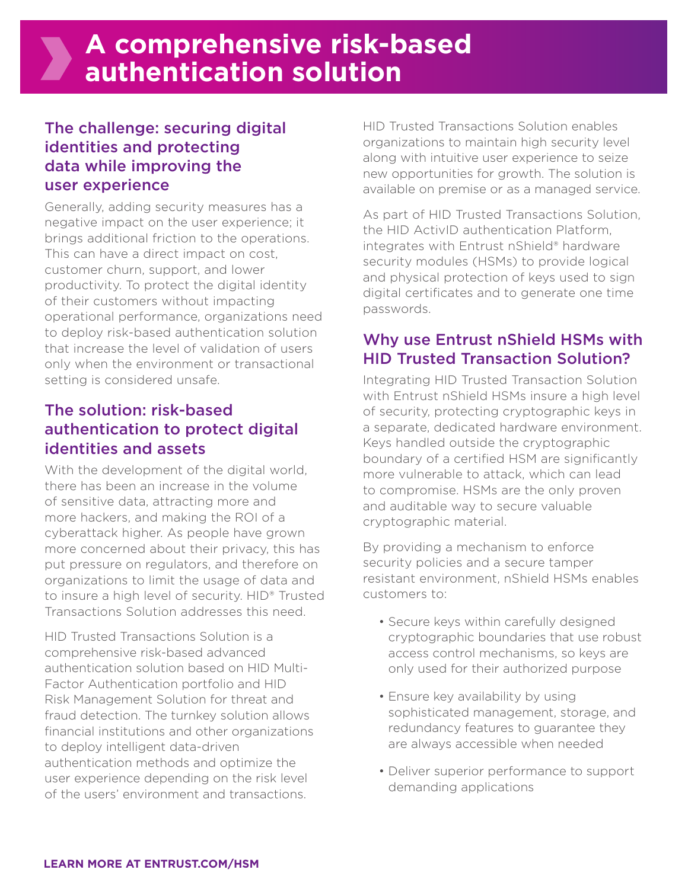## The challenge: securing digital identities and protecting data while improving the user experience

Generally, adding security measures has a negative impact on the user experience; it brings additional friction to the operations. This can have a direct impact on cost, customer churn, support, and lower productivity. To protect the digital identity of their customers without impacting operational performance, organizations need to deploy risk-based authentication solution that increase the level of validation of users only when the environment or transactional setting is considered unsafe.

## The solution: risk-based authentication to protect digital identities and assets

With the development of the digital world, there has been an increase in the volume of sensitive data, attracting more and more hackers, and making the ROI of a cyberattack higher. As people have grown more concerned about their privacy, this has put pressure on regulators, and therefore on organizations to limit the usage of data and to insure a high level of security. HID® Trusted Transactions Solution addresses this need.

HID Trusted Transactions Solution is a comprehensive risk-based advanced authentication solution based on HID Multi-Factor Authentication portfolio and HID Risk Management Solution for threat and fraud detection. The turnkey solution allows financial institutions and other organizations to deploy intelligent data-driven authentication methods and optimize the user experience depending on the risk level of the users' environment and transactions.

HID Trusted Transactions Solution enables organizations to maintain high security level along with intuitive user experience to seize new opportunities for growth. The solution is available on premise or as a managed service.

As part of HID Trusted Transactions Solution, the HID ActivID authentication Platform, integrates with Entrust nShield® hardware security modules (HSMs) to provide logical and physical protection of keys used to sign digital certificates and to generate one time passwords.

## Why use Entrust nShield HSMs with HID Trusted Transaction Solution?

Integrating HID Trusted Transaction Solution with Entrust nShield HSMs insure a high level of security, protecting cryptographic keys in a separate, dedicated hardware environment. Keys handled outside the cryptographic boundary of a certified HSM are significantly more vulnerable to attack, which can lead to compromise. HSMs are the only proven and auditable way to secure valuable cryptographic material.

By providing a mechanism to enforce security policies and a secure tamper resistant environment, nShield HSMs enables customers to:

- Secure keys within carefully designed cryptographic boundaries that use robust access control mechanisms, so keys are only used for their authorized purpose
- Ensure key availability by using sophisticated management, storage, and redundancy features to guarantee they are always accessible when needed
- Deliver superior performance to support demanding applications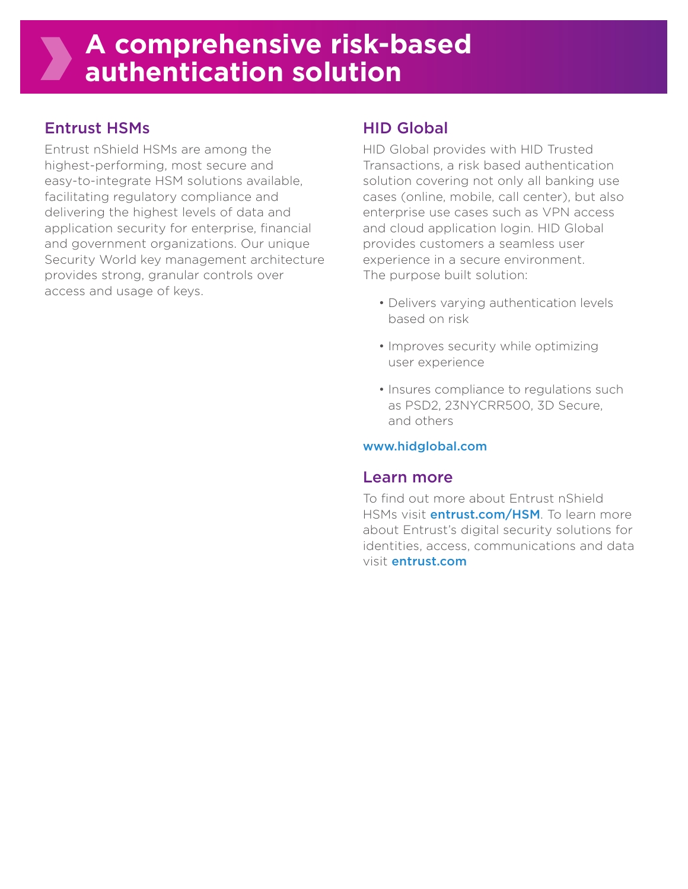## Entrust HSMs

Entrust nShield HSMs are among the highest-performing, most secure and easy-to-integrate HSM solutions available, facilitating regulatory compliance and delivering the highest levels of data and application security for enterprise, financial and government organizations. Our unique Security World key management architecture provides strong, granular controls over access and usage of keys.

# HID Global

HID Global provides with HID Trusted Transactions, a risk based authentication solution covering not only all banking use cases (online, mobile, call center), but also enterprise use cases such as VPN access and cloud application login. HID Global provides customers a seamless user experience in a secure environment. The purpose built solution:

- Delivers varying authentication levels based on risk
- Improves security while optimizing user experience
- Insures compliance to regulations such as PSD2, 23NYCRR500, 3D Secure, and others

#### www.hidglobal.com

#### Learn more

To find out more about Entrust nShield HSMs visit *entrust.com/HSM*. To learn more about Entrust's digital security solutions for identities, access, communications and data visit entrust.com